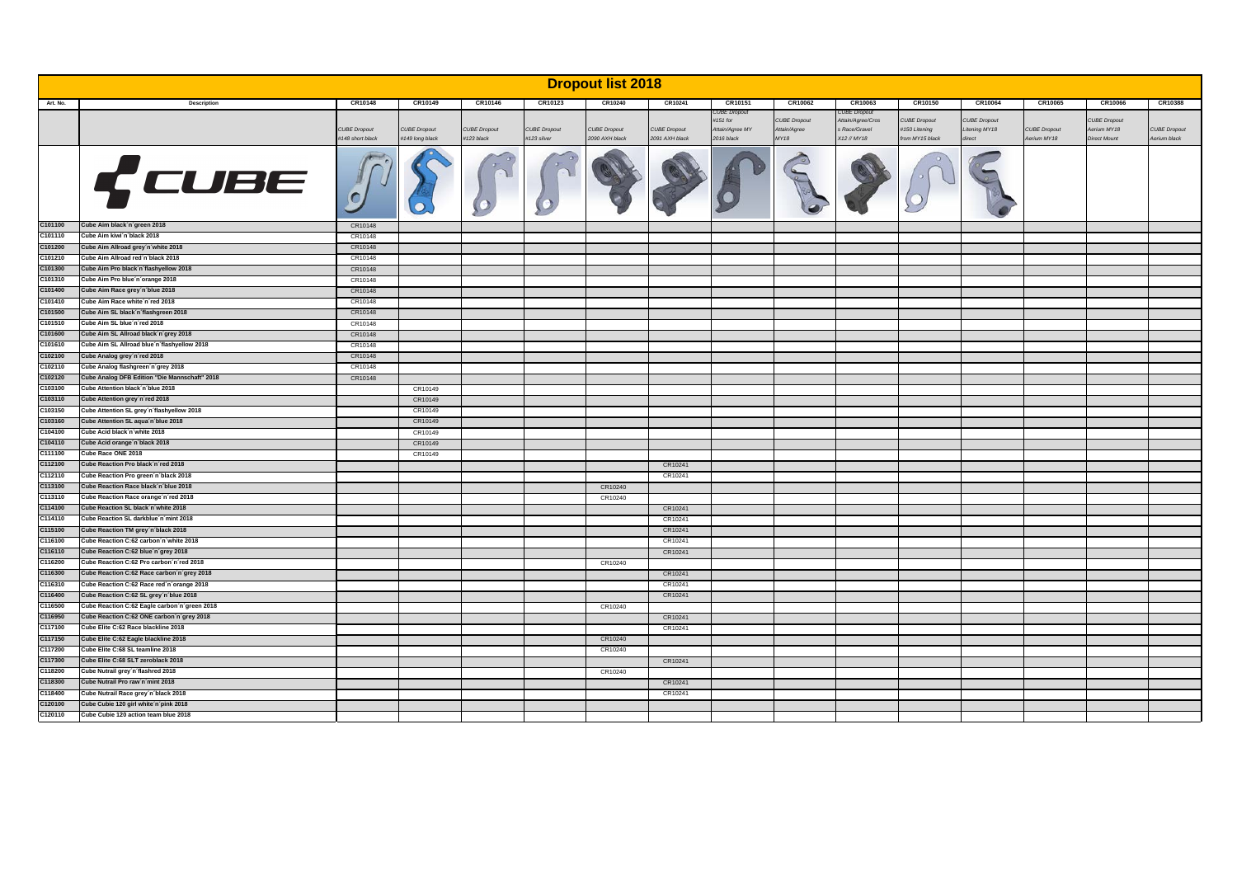| CR10148<br>CR10149<br>CR10146<br>CR10123<br>CR10240<br>CR10241<br>CR10151<br>CR10062<br>CR10063<br>CR10150<br>CR10064<br>CR10065<br>CR10066<br>CR10388<br>Art. No.<br>Description<br>CUBE Dropout<br>:UBE Dropout<br>#151 for<br><b>CUBE Dropout</b><br><b>CUBE Dropout</b><br>CUBE Dropout<br><b>CUBE Dropout</b><br>Attain/Agree/Cros<br><b>CUBE Dropout</b><br><b>CUBE Dropout</b><br><b>CUBE Dropout</b><br><b>CUBE Dropout</b><br><b>CUBE Dropout</b><br><b>CUBE Dropout</b><br><b>CUBE Dropout</b><br>Attain/Agree MY<br>Attain/Agree<br>s Race/Gravel<br>#150 Litening<br>Litening MY18<br><b>CUBE Dropout</b><br>Aerium MY18<br>#123 black<br>#123 silver<br><b>MY18</b><br>X12 // MY18<br>Aerium black<br>#148 short black<br>#149 long black<br>2090 AXH black<br>2091 AXH black<br>2016 black<br>from MY15 black<br>direct<br>Aerium MY18<br><b>Direct Mount</b><br>CUBE<br>Cube Aim black n'green 2018<br>C101100<br>CR10148<br>C101110<br>Cube Aim kiwi'n black 2018<br>CR10148<br>Cube Aim Allroad grey'n'white 2018<br>C101200<br>CR10148<br>C101210<br>Cube Aim Allroad red'n'black 2018<br>CR10148<br>C101300<br>Cube Aim Pro black n'flashyellow 2018<br>CR10148<br>C101310<br>Cube Aim Pro blue'n orange 2018<br>CR10148<br>C101400<br>Cube Aim Race grey n'blue 2018<br>CR10148<br>C101410<br>Cube Aim Race white n'red 2018<br>CR10148<br>C101500<br>Cube Aim SL black n'flashgreen 2018<br>CR10148<br>C101510<br>Cube Aim SL blue'n 'red 2018<br>CR10148<br>C101600<br>Cube Aim SL Allroad black n'grey 2018<br>CR10148<br>C101610<br>Cube Aim SL Allroad blue'n'flashyellow 2018<br>CR10148<br>C102100<br>Cube Analog grey n'red 2018<br>CR10148<br>C102110<br>Cube Analog flashgreen n'grey 2018<br>CR10148<br>Cube Analog DFB Edition "Die Mannschaft" 2018<br>C102120<br>CR10148<br>C103100<br>Cube Attention black n'blue 2018<br>CR10149<br>C103110<br>Cube Attention grey n'red 2018<br>CR10149<br>C103150<br>Cube Attention SL grey n'flashyellow 2018<br>CR10149<br>C103160<br>Cube Attention SL aqua'n'blue 2018<br>CR10149<br>C104100<br>Cube Acid black n'white 2018<br>CR10149<br>C104110<br>Cube Acid orange 'n black 2018<br>CR10149<br>C111100<br>Cube Race ONE 2018<br>CR10149<br>C112100<br>Cube Reaction Pro black n'red 2018<br>CR10241<br>C112110<br>Cube Reaction Pro green n black 2018<br>CR10241<br>C113100<br>Cube Reaction Race black n'blue 2018<br>CR10240<br>C113110<br>Cube Reaction Race orange'n 'red 2018<br>CR10240<br>C114100<br>Cube Reaction SL black n'white 2018<br>CR10241<br>C114110<br>Cube Reaction SL darkblue'n 'mint 2018<br>CR10241<br>Cube Reaction TM grey n'black 2018<br>C115100<br>CR10241<br>Cube Reaction C:62 carbon n'white 2018<br>CR10241<br>C116110<br>Cube Reaction C:62 blue n'grey 2018<br>CR10241<br>C116200<br>Cube Reaction C:62 Pro carbon n'red 2018<br>CR10240<br>C116300<br>Cube Reaction C:62 Race carbon n'grey 2018<br>CR10241<br>C116310<br>Cube Reaction C:62 Race red'n'orange 2018<br>CR10241<br>C116400<br>Cube Reaction C:62 SL grey n'blue 2018<br>CR10241<br>C116500<br>Cube Reaction C:62 Eagle carbon n'green 2018<br>CR10240<br>C116950<br>Cube Reaction C:62 ONE carbon n'grey 2018<br>CR10241<br>C117100<br>Cube Elite C:62 Race blackline 2018<br>CR10241<br>C117150<br>Cube Elite C:62 Eagle blackline 2018<br>CR10240<br>Cube Elite C:68 SL teamline 2018<br>C117200<br>CR10240<br>Cube Elite C:68 SLT zeroblack 2018<br>C117300<br>CR10241<br>Cube Nutrail grey n'flashred 2018<br>C118200<br>CR10240<br>C118300<br>Cube Nutrail Pro raw n'mint 2018<br>CR10241<br>C118400<br>Cube Nutrail Race grey n black 2018<br>CR10241<br>C120100<br>Cube Cubie 120 girl white n pink 2018<br>C120110<br>Cube Cubie 120 action team blue 2018 |         | <b>Dropout list 2018</b> |  |  |  |  |  |  |  |  |  |  |  |  |  |  |
|-----------------------------------------------------------------------------------------------------------------------------------------------------------------------------------------------------------------------------------------------------------------------------------------------------------------------------------------------------------------------------------------------------------------------------------------------------------------------------------------------------------------------------------------------------------------------------------------------------------------------------------------------------------------------------------------------------------------------------------------------------------------------------------------------------------------------------------------------------------------------------------------------------------------------------------------------------------------------------------------------------------------------------------------------------------------------------------------------------------------------------------------------------------------------------------------------------------------------------------------------------------------------------------------------------------------------------------------------------------------------------------------------------------------------------------------------------------------------------------------------------------------------------------------------------------------------------------------------------------------------------------------------------------------------------------------------------------------------------------------------------------------------------------------------------------------------------------------------------------------------------------------------------------------------------------------------------------------------------------------------------------------------------------------------------------------------------------------------------------------------------------------------------------------------------------------------------------------------------------------------------------------------------------------------------------------------------------------------------------------------------------------------------------------------------------------------------------------------------------------------------------------------------------------------------------------------------------------------------------------------------------------------------------------------------------------------------------------------------------------------------------------------------------------------------------------------------------------------------------------------------------------------------------------------------------------------------------------------------------------------------------------------------------------------------------------------------------------------------------------------------------------------------------------------------------------------------------------------------------------------------------------------------------------------------------------------------------------------------------------------------------------------------------------------------------------------------------------------------------------------------------------------------------------------------------------------------------------------------------------------------------------------------------------------------------------------------------------------------------------------------|---------|--------------------------|--|--|--|--|--|--|--|--|--|--|--|--|--|--|
|                                                                                                                                                                                                                                                                                                                                                                                                                                                                                                                                                                                                                                                                                                                                                                                                                                                                                                                                                                                                                                                                                                                                                                                                                                                                                                                                                                                                                                                                                                                                                                                                                                                                                                                                                                                                                                                                                                                                                                                                                                                                                                                                                                                                                                                                                                                                                                                                                                                                                                                                                                                                                                                                                                                                                                                                                                                                                                                                                                                                                                                                                                                                                                                                                                                                                                                                                                                                                                                                                                                                                                                                                                                                                                                                                     |         |                          |  |  |  |  |  |  |  |  |  |  |  |  |  |  |
|                                                                                                                                                                                                                                                                                                                                                                                                                                                                                                                                                                                                                                                                                                                                                                                                                                                                                                                                                                                                                                                                                                                                                                                                                                                                                                                                                                                                                                                                                                                                                                                                                                                                                                                                                                                                                                                                                                                                                                                                                                                                                                                                                                                                                                                                                                                                                                                                                                                                                                                                                                                                                                                                                                                                                                                                                                                                                                                                                                                                                                                                                                                                                                                                                                                                                                                                                                                                                                                                                                                                                                                                                                                                                                                                                     |         |                          |  |  |  |  |  |  |  |  |  |  |  |  |  |  |
|                                                                                                                                                                                                                                                                                                                                                                                                                                                                                                                                                                                                                                                                                                                                                                                                                                                                                                                                                                                                                                                                                                                                                                                                                                                                                                                                                                                                                                                                                                                                                                                                                                                                                                                                                                                                                                                                                                                                                                                                                                                                                                                                                                                                                                                                                                                                                                                                                                                                                                                                                                                                                                                                                                                                                                                                                                                                                                                                                                                                                                                                                                                                                                                                                                                                                                                                                                                                                                                                                                                                                                                                                                                                                                                                                     |         |                          |  |  |  |  |  |  |  |  |  |  |  |  |  |  |
|                                                                                                                                                                                                                                                                                                                                                                                                                                                                                                                                                                                                                                                                                                                                                                                                                                                                                                                                                                                                                                                                                                                                                                                                                                                                                                                                                                                                                                                                                                                                                                                                                                                                                                                                                                                                                                                                                                                                                                                                                                                                                                                                                                                                                                                                                                                                                                                                                                                                                                                                                                                                                                                                                                                                                                                                                                                                                                                                                                                                                                                                                                                                                                                                                                                                                                                                                                                                                                                                                                                                                                                                                                                                                                                                                     |         |                          |  |  |  |  |  |  |  |  |  |  |  |  |  |  |
|                                                                                                                                                                                                                                                                                                                                                                                                                                                                                                                                                                                                                                                                                                                                                                                                                                                                                                                                                                                                                                                                                                                                                                                                                                                                                                                                                                                                                                                                                                                                                                                                                                                                                                                                                                                                                                                                                                                                                                                                                                                                                                                                                                                                                                                                                                                                                                                                                                                                                                                                                                                                                                                                                                                                                                                                                                                                                                                                                                                                                                                                                                                                                                                                                                                                                                                                                                                                                                                                                                                                                                                                                                                                                                                                                     |         |                          |  |  |  |  |  |  |  |  |  |  |  |  |  |  |
|                                                                                                                                                                                                                                                                                                                                                                                                                                                                                                                                                                                                                                                                                                                                                                                                                                                                                                                                                                                                                                                                                                                                                                                                                                                                                                                                                                                                                                                                                                                                                                                                                                                                                                                                                                                                                                                                                                                                                                                                                                                                                                                                                                                                                                                                                                                                                                                                                                                                                                                                                                                                                                                                                                                                                                                                                                                                                                                                                                                                                                                                                                                                                                                                                                                                                                                                                                                                                                                                                                                                                                                                                                                                                                                                                     |         |                          |  |  |  |  |  |  |  |  |  |  |  |  |  |  |
|                                                                                                                                                                                                                                                                                                                                                                                                                                                                                                                                                                                                                                                                                                                                                                                                                                                                                                                                                                                                                                                                                                                                                                                                                                                                                                                                                                                                                                                                                                                                                                                                                                                                                                                                                                                                                                                                                                                                                                                                                                                                                                                                                                                                                                                                                                                                                                                                                                                                                                                                                                                                                                                                                                                                                                                                                                                                                                                                                                                                                                                                                                                                                                                                                                                                                                                                                                                                                                                                                                                                                                                                                                                                                                                                                     |         |                          |  |  |  |  |  |  |  |  |  |  |  |  |  |  |
|                                                                                                                                                                                                                                                                                                                                                                                                                                                                                                                                                                                                                                                                                                                                                                                                                                                                                                                                                                                                                                                                                                                                                                                                                                                                                                                                                                                                                                                                                                                                                                                                                                                                                                                                                                                                                                                                                                                                                                                                                                                                                                                                                                                                                                                                                                                                                                                                                                                                                                                                                                                                                                                                                                                                                                                                                                                                                                                                                                                                                                                                                                                                                                                                                                                                                                                                                                                                                                                                                                                                                                                                                                                                                                                                                     |         |                          |  |  |  |  |  |  |  |  |  |  |  |  |  |  |
|                                                                                                                                                                                                                                                                                                                                                                                                                                                                                                                                                                                                                                                                                                                                                                                                                                                                                                                                                                                                                                                                                                                                                                                                                                                                                                                                                                                                                                                                                                                                                                                                                                                                                                                                                                                                                                                                                                                                                                                                                                                                                                                                                                                                                                                                                                                                                                                                                                                                                                                                                                                                                                                                                                                                                                                                                                                                                                                                                                                                                                                                                                                                                                                                                                                                                                                                                                                                                                                                                                                                                                                                                                                                                                                                                     |         |                          |  |  |  |  |  |  |  |  |  |  |  |  |  |  |
|                                                                                                                                                                                                                                                                                                                                                                                                                                                                                                                                                                                                                                                                                                                                                                                                                                                                                                                                                                                                                                                                                                                                                                                                                                                                                                                                                                                                                                                                                                                                                                                                                                                                                                                                                                                                                                                                                                                                                                                                                                                                                                                                                                                                                                                                                                                                                                                                                                                                                                                                                                                                                                                                                                                                                                                                                                                                                                                                                                                                                                                                                                                                                                                                                                                                                                                                                                                                                                                                                                                                                                                                                                                                                                                                                     |         |                          |  |  |  |  |  |  |  |  |  |  |  |  |  |  |
|                                                                                                                                                                                                                                                                                                                                                                                                                                                                                                                                                                                                                                                                                                                                                                                                                                                                                                                                                                                                                                                                                                                                                                                                                                                                                                                                                                                                                                                                                                                                                                                                                                                                                                                                                                                                                                                                                                                                                                                                                                                                                                                                                                                                                                                                                                                                                                                                                                                                                                                                                                                                                                                                                                                                                                                                                                                                                                                                                                                                                                                                                                                                                                                                                                                                                                                                                                                                                                                                                                                                                                                                                                                                                                                                                     |         |                          |  |  |  |  |  |  |  |  |  |  |  |  |  |  |
|                                                                                                                                                                                                                                                                                                                                                                                                                                                                                                                                                                                                                                                                                                                                                                                                                                                                                                                                                                                                                                                                                                                                                                                                                                                                                                                                                                                                                                                                                                                                                                                                                                                                                                                                                                                                                                                                                                                                                                                                                                                                                                                                                                                                                                                                                                                                                                                                                                                                                                                                                                                                                                                                                                                                                                                                                                                                                                                                                                                                                                                                                                                                                                                                                                                                                                                                                                                                                                                                                                                                                                                                                                                                                                                                                     |         |                          |  |  |  |  |  |  |  |  |  |  |  |  |  |  |
|                                                                                                                                                                                                                                                                                                                                                                                                                                                                                                                                                                                                                                                                                                                                                                                                                                                                                                                                                                                                                                                                                                                                                                                                                                                                                                                                                                                                                                                                                                                                                                                                                                                                                                                                                                                                                                                                                                                                                                                                                                                                                                                                                                                                                                                                                                                                                                                                                                                                                                                                                                                                                                                                                                                                                                                                                                                                                                                                                                                                                                                                                                                                                                                                                                                                                                                                                                                                                                                                                                                                                                                                                                                                                                                                                     |         |                          |  |  |  |  |  |  |  |  |  |  |  |  |  |  |
|                                                                                                                                                                                                                                                                                                                                                                                                                                                                                                                                                                                                                                                                                                                                                                                                                                                                                                                                                                                                                                                                                                                                                                                                                                                                                                                                                                                                                                                                                                                                                                                                                                                                                                                                                                                                                                                                                                                                                                                                                                                                                                                                                                                                                                                                                                                                                                                                                                                                                                                                                                                                                                                                                                                                                                                                                                                                                                                                                                                                                                                                                                                                                                                                                                                                                                                                                                                                                                                                                                                                                                                                                                                                                                                                                     |         |                          |  |  |  |  |  |  |  |  |  |  |  |  |  |  |
|                                                                                                                                                                                                                                                                                                                                                                                                                                                                                                                                                                                                                                                                                                                                                                                                                                                                                                                                                                                                                                                                                                                                                                                                                                                                                                                                                                                                                                                                                                                                                                                                                                                                                                                                                                                                                                                                                                                                                                                                                                                                                                                                                                                                                                                                                                                                                                                                                                                                                                                                                                                                                                                                                                                                                                                                                                                                                                                                                                                                                                                                                                                                                                                                                                                                                                                                                                                                                                                                                                                                                                                                                                                                                                                                                     |         |                          |  |  |  |  |  |  |  |  |  |  |  |  |  |  |
|                                                                                                                                                                                                                                                                                                                                                                                                                                                                                                                                                                                                                                                                                                                                                                                                                                                                                                                                                                                                                                                                                                                                                                                                                                                                                                                                                                                                                                                                                                                                                                                                                                                                                                                                                                                                                                                                                                                                                                                                                                                                                                                                                                                                                                                                                                                                                                                                                                                                                                                                                                                                                                                                                                                                                                                                                                                                                                                                                                                                                                                                                                                                                                                                                                                                                                                                                                                                                                                                                                                                                                                                                                                                                                                                                     |         |                          |  |  |  |  |  |  |  |  |  |  |  |  |  |  |
|                                                                                                                                                                                                                                                                                                                                                                                                                                                                                                                                                                                                                                                                                                                                                                                                                                                                                                                                                                                                                                                                                                                                                                                                                                                                                                                                                                                                                                                                                                                                                                                                                                                                                                                                                                                                                                                                                                                                                                                                                                                                                                                                                                                                                                                                                                                                                                                                                                                                                                                                                                                                                                                                                                                                                                                                                                                                                                                                                                                                                                                                                                                                                                                                                                                                                                                                                                                                                                                                                                                                                                                                                                                                                                                                                     |         |                          |  |  |  |  |  |  |  |  |  |  |  |  |  |  |
|                                                                                                                                                                                                                                                                                                                                                                                                                                                                                                                                                                                                                                                                                                                                                                                                                                                                                                                                                                                                                                                                                                                                                                                                                                                                                                                                                                                                                                                                                                                                                                                                                                                                                                                                                                                                                                                                                                                                                                                                                                                                                                                                                                                                                                                                                                                                                                                                                                                                                                                                                                                                                                                                                                                                                                                                                                                                                                                                                                                                                                                                                                                                                                                                                                                                                                                                                                                                                                                                                                                                                                                                                                                                                                                                                     |         |                          |  |  |  |  |  |  |  |  |  |  |  |  |  |  |
|                                                                                                                                                                                                                                                                                                                                                                                                                                                                                                                                                                                                                                                                                                                                                                                                                                                                                                                                                                                                                                                                                                                                                                                                                                                                                                                                                                                                                                                                                                                                                                                                                                                                                                                                                                                                                                                                                                                                                                                                                                                                                                                                                                                                                                                                                                                                                                                                                                                                                                                                                                                                                                                                                                                                                                                                                                                                                                                                                                                                                                                                                                                                                                                                                                                                                                                                                                                                                                                                                                                                                                                                                                                                                                                                                     |         |                          |  |  |  |  |  |  |  |  |  |  |  |  |  |  |
|                                                                                                                                                                                                                                                                                                                                                                                                                                                                                                                                                                                                                                                                                                                                                                                                                                                                                                                                                                                                                                                                                                                                                                                                                                                                                                                                                                                                                                                                                                                                                                                                                                                                                                                                                                                                                                                                                                                                                                                                                                                                                                                                                                                                                                                                                                                                                                                                                                                                                                                                                                                                                                                                                                                                                                                                                                                                                                                                                                                                                                                                                                                                                                                                                                                                                                                                                                                                                                                                                                                                                                                                                                                                                                                                                     |         |                          |  |  |  |  |  |  |  |  |  |  |  |  |  |  |
|                                                                                                                                                                                                                                                                                                                                                                                                                                                                                                                                                                                                                                                                                                                                                                                                                                                                                                                                                                                                                                                                                                                                                                                                                                                                                                                                                                                                                                                                                                                                                                                                                                                                                                                                                                                                                                                                                                                                                                                                                                                                                                                                                                                                                                                                                                                                                                                                                                                                                                                                                                                                                                                                                                                                                                                                                                                                                                                                                                                                                                                                                                                                                                                                                                                                                                                                                                                                                                                                                                                                                                                                                                                                                                                                                     |         |                          |  |  |  |  |  |  |  |  |  |  |  |  |  |  |
|                                                                                                                                                                                                                                                                                                                                                                                                                                                                                                                                                                                                                                                                                                                                                                                                                                                                                                                                                                                                                                                                                                                                                                                                                                                                                                                                                                                                                                                                                                                                                                                                                                                                                                                                                                                                                                                                                                                                                                                                                                                                                                                                                                                                                                                                                                                                                                                                                                                                                                                                                                                                                                                                                                                                                                                                                                                                                                                                                                                                                                                                                                                                                                                                                                                                                                                                                                                                                                                                                                                                                                                                                                                                                                                                                     |         |                          |  |  |  |  |  |  |  |  |  |  |  |  |  |  |
|                                                                                                                                                                                                                                                                                                                                                                                                                                                                                                                                                                                                                                                                                                                                                                                                                                                                                                                                                                                                                                                                                                                                                                                                                                                                                                                                                                                                                                                                                                                                                                                                                                                                                                                                                                                                                                                                                                                                                                                                                                                                                                                                                                                                                                                                                                                                                                                                                                                                                                                                                                                                                                                                                                                                                                                                                                                                                                                                                                                                                                                                                                                                                                                                                                                                                                                                                                                                                                                                                                                                                                                                                                                                                                                                                     |         |                          |  |  |  |  |  |  |  |  |  |  |  |  |  |  |
|                                                                                                                                                                                                                                                                                                                                                                                                                                                                                                                                                                                                                                                                                                                                                                                                                                                                                                                                                                                                                                                                                                                                                                                                                                                                                                                                                                                                                                                                                                                                                                                                                                                                                                                                                                                                                                                                                                                                                                                                                                                                                                                                                                                                                                                                                                                                                                                                                                                                                                                                                                                                                                                                                                                                                                                                                                                                                                                                                                                                                                                                                                                                                                                                                                                                                                                                                                                                                                                                                                                                                                                                                                                                                                                                                     |         |                          |  |  |  |  |  |  |  |  |  |  |  |  |  |  |
|                                                                                                                                                                                                                                                                                                                                                                                                                                                                                                                                                                                                                                                                                                                                                                                                                                                                                                                                                                                                                                                                                                                                                                                                                                                                                                                                                                                                                                                                                                                                                                                                                                                                                                                                                                                                                                                                                                                                                                                                                                                                                                                                                                                                                                                                                                                                                                                                                                                                                                                                                                                                                                                                                                                                                                                                                                                                                                                                                                                                                                                                                                                                                                                                                                                                                                                                                                                                                                                                                                                                                                                                                                                                                                                                                     |         |                          |  |  |  |  |  |  |  |  |  |  |  |  |  |  |
|                                                                                                                                                                                                                                                                                                                                                                                                                                                                                                                                                                                                                                                                                                                                                                                                                                                                                                                                                                                                                                                                                                                                                                                                                                                                                                                                                                                                                                                                                                                                                                                                                                                                                                                                                                                                                                                                                                                                                                                                                                                                                                                                                                                                                                                                                                                                                                                                                                                                                                                                                                                                                                                                                                                                                                                                                                                                                                                                                                                                                                                                                                                                                                                                                                                                                                                                                                                                                                                                                                                                                                                                                                                                                                                                                     |         |                          |  |  |  |  |  |  |  |  |  |  |  |  |  |  |
|                                                                                                                                                                                                                                                                                                                                                                                                                                                                                                                                                                                                                                                                                                                                                                                                                                                                                                                                                                                                                                                                                                                                                                                                                                                                                                                                                                                                                                                                                                                                                                                                                                                                                                                                                                                                                                                                                                                                                                                                                                                                                                                                                                                                                                                                                                                                                                                                                                                                                                                                                                                                                                                                                                                                                                                                                                                                                                                                                                                                                                                                                                                                                                                                                                                                                                                                                                                                                                                                                                                                                                                                                                                                                                                                                     |         |                          |  |  |  |  |  |  |  |  |  |  |  |  |  |  |
|                                                                                                                                                                                                                                                                                                                                                                                                                                                                                                                                                                                                                                                                                                                                                                                                                                                                                                                                                                                                                                                                                                                                                                                                                                                                                                                                                                                                                                                                                                                                                                                                                                                                                                                                                                                                                                                                                                                                                                                                                                                                                                                                                                                                                                                                                                                                                                                                                                                                                                                                                                                                                                                                                                                                                                                                                                                                                                                                                                                                                                                                                                                                                                                                                                                                                                                                                                                                                                                                                                                                                                                                                                                                                                                                                     |         |                          |  |  |  |  |  |  |  |  |  |  |  |  |  |  |
|                                                                                                                                                                                                                                                                                                                                                                                                                                                                                                                                                                                                                                                                                                                                                                                                                                                                                                                                                                                                                                                                                                                                                                                                                                                                                                                                                                                                                                                                                                                                                                                                                                                                                                                                                                                                                                                                                                                                                                                                                                                                                                                                                                                                                                                                                                                                                                                                                                                                                                                                                                                                                                                                                                                                                                                                                                                                                                                                                                                                                                                                                                                                                                                                                                                                                                                                                                                                                                                                                                                                                                                                                                                                                                                                                     |         |                          |  |  |  |  |  |  |  |  |  |  |  |  |  |  |
|                                                                                                                                                                                                                                                                                                                                                                                                                                                                                                                                                                                                                                                                                                                                                                                                                                                                                                                                                                                                                                                                                                                                                                                                                                                                                                                                                                                                                                                                                                                                                                                                                                                                                                                                                                                                                                                                                                                                                                                                                                                                                                                                                                                                                                                                                                                                                                                                                                                                                                                                                                                                                                                                                                                                                                                                                                                                                                                                                                                                                                                                                                                                                                                                                                                                                                                                                                                                                                                                                                                                                                                                                                                                                                                                                     |         |                          |  |  |  |  |  |  |  |  |  |  |  |  |  |  |
|                                                                                                                                                                                                                                                                                                                                                                                                                                                                                                                                                                                                                                                                                                                                                                                                                                                                                                                                                                                                                                                                                                                                                                                                                                                                                                                                                                                                                                                                                                                                                                                                                                                                                                                                                                                                                                                                                                                                                                                                                                                                                                                                                                                                                                                                                                                                                                                                                                                                                                                                                                                                                                                                                                                                                                                                                                                                                                                                                                                                                                                                                                                                                                                                                                                                                                                                                                                                                                                                                                                                                                                                                                                                                                                                                     |         |                          |  |  |  |  |  |  |  |  |  |  |  |  |  |  |
|                                                                                                                                                                                                                                                                                                                                                                                                                                                                                                                                                                                                                                                                                                                                                                                                                                                                                                                                                                                                                                                                                                                                                                                                                                                                                                                                                                                                                                                                                                                                                                                                                                                                                                                                                                                                                                                                                                                                                                                                                                                                                                                                                                                                                                                                                                                                                                                                                                                                                                                                                                                                                                                                                                                                                                                                                                                                                                                                                                                                                                                                                                                                                                                                                                                                                                                                                                                                                                                                                                                                                                                                                                                                                                                                                     |         |                          |  |  |  |  |  |  |  |  |  |  |  |  |  |  |
|                                                                                                                                                                                                                                                                                                                                                                                                                                                                                                                                                                                                                                                                                                                                                                                                                                                                                                                                                                                                                                                                                                                                                                                                                                                                                                                                                                                                                                                                                                                                                                                                                                                                                                                                                                                                                                                                                                                                                                                                                                                                                                                                                                                                                                                                                                                                                                                                                                                                                                                                                                                                                                                                                                                                                                                                                                                                                                                                                                                                                                                                                                                                                                                                                                                                                                                                                                                                                                                                                                                                                                                                                                                                                                                                                     | C116100 |                          |  |  |  |  |  |  |  |  |  |  |  |  |  |  |
|                                                                                                                                                                                                                                                                                                                                                                                                                                                                                                                                                                                                                                                                                                                                                                                                                                                                                                                                                                                                                                                                                                                                                                                                                                                                                                                                                                                                                                                                                                                                                                                                                                                                                                                                                                                                                                                                                                                                                                                                                                                                                                                                                                                                                                                                                                                                                                                                                                                                                                                                                                                                                                                                                                                                                                                                                                                                                                                                                                                                                                                                                                                                                                                                                                                                                                                                                                                                                                                                                                                                                                                                                                                                                                                                                     |         |                          |  |  |  |  |  |  |  |  |  |  |  |  |  |  |
|                                                                                                                                                                                                                                                                                                                                                                                                                                                                                                                                                                                                                                                                                                                                                                                                                                                                                                                                                                                                                                                                                                                                                                                                                                                                                                                                                                                                                                                                                                                                                                                                                                                                                                                                                                                                                                                                                                                                                                                                                                                                                                                                                                                                                                                                                                                                                                                                                                                                                                                                                                                                                                                                                                                                                                                                                                                                                                                                                                                                                                                                                                                                                                                                                                                                                                                                                                                                                                                                                                                                                                                                                                                                                                                                                     |         |                          |  |  |  |  |  |  |  |  |  |  |  |  |  |  |
|                                                                                                                                                                                                                                                                                                                                                                                                                                                                                                                                                                                                                                                                                                                                                                                                                                                                                                                                                                                                                                                                                                                                                                                                                                                                                                                                                                                                                                                                                                                                                                                                                                                                                                                                                                                                                                                                                                                                                                                                                                                                                                                                                                                                                                                                                                                                                                                                                                                                                                                                                                                                                                                                                                                                                                                                                                                                                                                                                                                                                                                                                                                                                                                                                                                                                                                                                                                                                                                                                                                                                                                                                                                                                                                                                     |         |                          |  |  |  |  |  |  |  |  |  |  |  |  |  |  |
|                                                                                                                                                                                                                                                                                                                                                                                                                                                                                                                                                                                                                                                                                                                                                                                                                                                                                                                                                                                                                                                                                                                                                                                                                                                                                                                                                                                                                                                                                                                                                                                                                                                                                                                                                                                                                                                                                                                                                                                                                                                                                                                                                                                                                                                                                                                                                                                                                                                                                                                                                                                                                                                                                                                                                                                                                                                                                                                                                                                                                                                                                                                                                                                                                                                                                                                                                                                                                                                                                                                                                                                                                                                                                                                                                     |         |                          |  |  |  |  |  |  |  |  |  |  |  |  |  |  |
|                                                                                                                                                                                                                                                                                                                                                                                                                                                                                                                                                                                                                                                                                                                                                                                                                                                                                                                                                                                                                                                                                                                                                                                                                                                                                                                                                                                                                                                                                                                                                                                                                                                                                                                                                                                                                                                                                                                                                                                                                                                                                                                                                                                                                                                                                                                                                                                                                                                                                                                                                                                                                                                                                                                                                                                                                                                                                                                                                                                                                                                                                                                                                                                                                                                                                                                                                                                                                                                                                                                                                                                                                                                                                                                                                     |         |                          |  |  |  |  |  |  |  |  |  |  |  |  |  |  |
|                                                                                                                                                                                                                                                                                                                                                                                                                                                                                                                                                                                                                                                                                                                                                                                                                                                                                                                                                                                                                                                                                                                                                                                                                                                                                                                                                                                                                                                                                                                                                                                                                                                                                                                                                                                                                                                                                                                                                                                                                                                                                                                                                                                                                                                                                                                                                                                                                                                                                                                                                                                                                                                                                                                                                                                                                                                                                                                                                                                                                                                                                                                                                                                                                                                                                                                                                                                                                                                                                                                                                                                                                                                                                                                                                     |         |                          |  |  |  |  |  |  |  |  |  |  |  |  |  |  |
|                                                                                                                                                                                                                                                                                                                                                                                                                                                                                                                                                                                                                                                                                                                                                                                                                                                                                                                                                                                                                                                                                                                                                                                                                                                                                                                                                                                                                                                                                                                                                                                                                                                                                                                                                                                                                                                                                                                                                                                                                                                                                                                                                                                                                                                                                                                                                                                                                                                                                                                                                                                                                                                                                                                                                                                                                                                                                                                                                                                                                                                                                                                                                                                                                                                                                                                                                                                                                                                                                                                                                                                                                                                                                                                                                     |         |                          |  |  |  |  |  |  |  |  |  |  |  |  |  |  |
|                                                                                                                                                                                                                                                                                                                                                                                                                                                                                                                                                                                                                                                                                                                                                                                                                                                                                                                                                                                                                                                                                                                                                                                                                                                                                                                                                                                                                                                                                                                                                                                                                                                                                                                                                                                                                                                                                                                                                                                                                                                                                                                                                                                                                                                                                                                                                                                                                                                                                                                                                                                                                                                                                                                                                                                                                                                                                                                                                                                                                                                                                                                                                                                                                                                                                                                                                                                                                                                                                                                                                                                                                                                                                                                                                     |         |                          |  |  |  |  |  |  |  |  |  |  |  |  |  |  |
|                                                                                                                                                                                                                                                                                                                                                                                                                                                                                                                                                                                                                                                                                                                                                                                                                                                                                                                                                                                                                                                                                                                                                                                                                                                                                                                                                                                                                                                                                                                                                                                                                                                                                                                                                                                                                                                                                                                                                                                                                                                                                                                                                                                                                                                                                                                                                                                                                                                                                                                                                                                                                                                                                                                                                                                                                                                                                                                                                                                                                                                                                                                                                                                                                                                                                                                                                                                                                                                                                                                                                                                                                                                                                                                                                     |         |                          |  |  |  |  |  |  |  |  |  |  |  |  |  |  |
|                                                                                                                                                                                                                                                                                                                                                                                                                                                                                                                                                                                                                                                                                                                                                                                                                                                                                                                                                                                                                                                                                                                                                                                                                                                                                                                                                                                                                                                                                                                                                                                                                                                                                                                                                                                                                                                                                                                                                                                                                                                                                                                                                                                                                                                                                                                                                                                                                                                                                                                                                                                                                                                                                                                                                                                                                                                                                                                                                                                                                                                                                                                                                                                                                                                                                                                                                                                                                                                                                                                                                                                                                                                                                                                                                     |         |                          |  |  |  |  |  |  |  |  |  |  |  |  |  |  |
|                                                                                                                                                                                                                                                                                                                                                                                                                                                                                                                                                                                                                                                                                                                                                                                                                                                                                                                                                                                                                                                                                                                                                                                                                                                                                                                                                                                                                                                                                                                                                                                                                                                                                                                                                                                                                                                                                                                                                                                                                                                                                                                                                                                                                                                                                                                                                                                                                                                                                                                                                                                                                                                                                                                                                                                                                                                                                                                                                                                                                                                                                                                                                                                                                                                                                                                                                                                                                                                                                                                                                                                                                                                                                                                                                     |         |                          |  |  |  |  |  |  |  |  |  |  |  |  |  |  |
|                                                                                                                                                                                                                                                                                                                                                                                                                                                                                                                                                                                                                                                                                                                                                                                                                                                                                                                                                                                                                                                                                                                                                                                                                                                                                                                                                                                                                                                                                                                                                                                                                                                                                                                                                                                                                                                                                                                                                                                                                                                                                                                                                                                                                                                                                                                                                                                                                                                                                                                                                                                                                                                                                                                                                                                                                                                                                                                                                                                                                                                                                                                                                                                                                                                                                                                                                                                                                                                                                                                                                                                                                                                                                                                                                     |         |                          |  |  |  |  |  |  |  |  |  |  |  |  |  |  |
|                                                                                                                                                                                                                                                                                                                                                                                                                                                                                                                                                                                                                                                                                                                                                                                                                                                                                                                                                                                                                                                                                                                                                                                                                                                                                                                                                                                                                                                                                                                                                                                                                                                                                                                                                                                                                                                                                                                                                                                                                                                                                                                                                                                                                                                                                                                                                                                                                                                                                                                                                                                                                                                                                                                                                                                                                                                                                                                                                                                                                                                                                                                                                                                                                                                                                                                                                                                                                                                                                                                                                                                                                                                                                                                                                     |         |                          |  |  |  |  |  |  |  |  |  |  |  |  |  |  |
|                                                                                                                                                                                                                                                                                                                                                                                                                                                                                                                                                                                                                                                                                                                                                                                                                                                                                                                                                                                                                                                                                                                                                                                                                                                                                                                                                                                                                                                                                                                                                                                                                                                                                                                                                                                                                                                                                                                                                                                                                                                                                                                                                                                                                                                                                                                                                                                                                                                                                                                                                                                                                                                                                                                                                                                                                                                                                                                                                                                                                                                                                                                                                                                                                                                                                                                                                                                                                                                                                                                                                                                                                                                                                                                                                     |         |                          |  |  |  |  |  |  |  |  |  |  |  |  |  |  |
|                                                                                                                                                                                                                                                                                                                                                                                                                                                                                                                                                                                                                                                                                                                                                                                                                                                                                                                                                                                                                                                                                                                                                                                                                                                                                                                                                                                                                                                                                                                                                                                                                                                                                                                                                                                                                                                                                                                                                                                                                                                                                                                                                                                                                                                                                                                                                                                                                                                                                                                                                                                                                                                                                                                                                                                                                                                                                                                                                                                                                                                                                                                                                                                                                                                                                                                                                                                                                                                                                                                                                                                                                                                                                                                                                     |         |                          |  |  |  |  |  |  |  |  |  |  |  |  |  |  |
|                                                                                                                                                                                                                                                                                                                                                                                                                                                                                                                                                                                                                                                                                                                                                                                                                                                                                                                                                                                                                                                                                                                                                                                                                                                                                                                                                                                                                                                                                                                                                                                                                                                                                                                                                                                                                                                                                                                                                                                                                                                                                                                                                                                                                                                                                                                                                                                                                                                                                                                                                                                                                                                                                                                                                                                                                                                                                                                                                                                                                                                                                                                                                                                                                                                                                                                                                                                                                                                                                                                                                                                                                                                                                                                                                     |         |                          |  |  |  |  |  |  |  |  |  |  |  |  |  |  |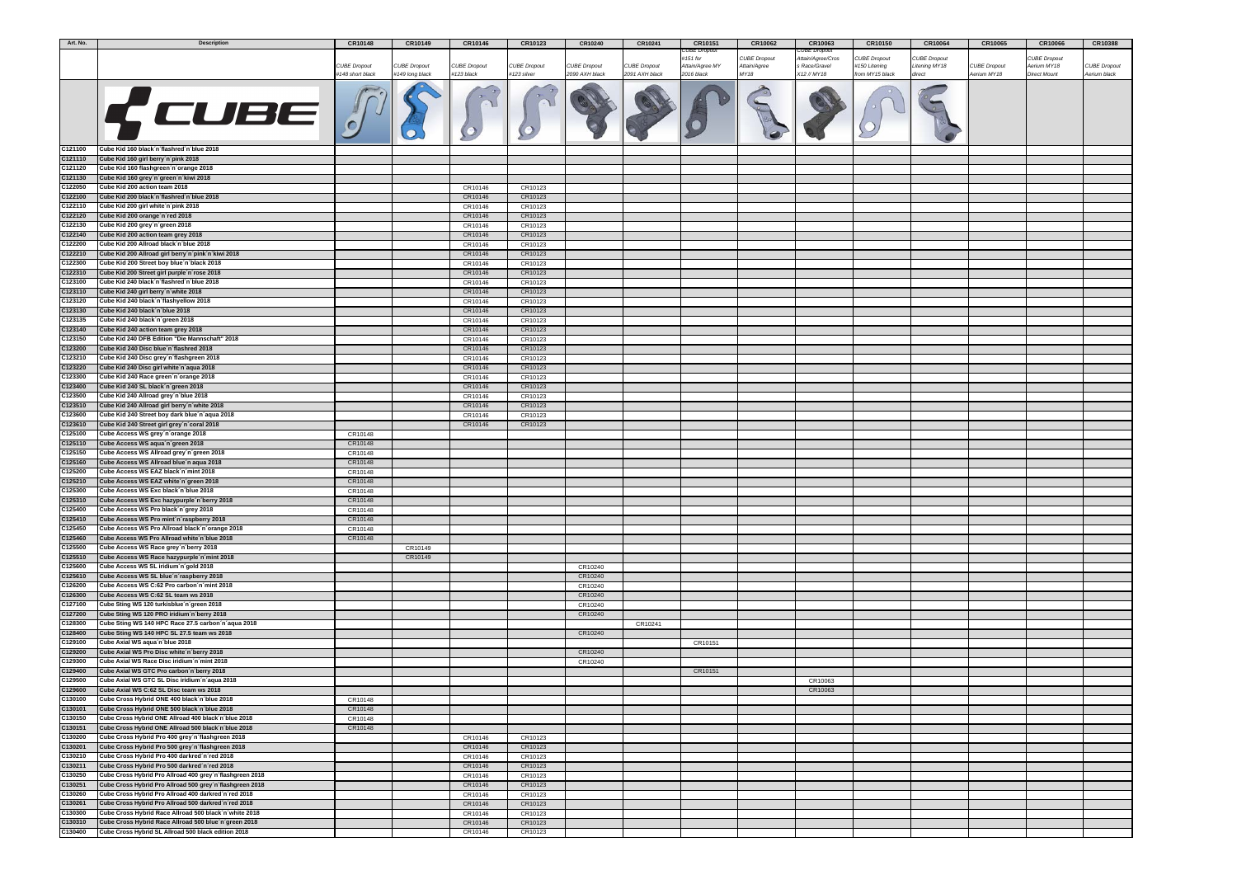| Art. No. | <b>Description</b>                                       | CR10148            | CR10149             | CR10146             | CR10123             | CR10240             | CR10241             | CR10151         | CR10062             | CR10063            | CR10150             | CR10064             | CR10065             | CR10066             | CR10388             |
|----------|----------------------------------------------------------|--------------------|---------------------|---------------------|---------------------|---------------------|---------------------|-----------------|---------------------|--------------------|---------------------|---------------------|---------------------|---------------------|---------------------|
|          |                                                          |                    |                     |                     |                     |                     |                     | CUBE Dropout    |                     | <b>UBE Dropout</b> |                     |                     |                     |                     |                     |
|          |                                                          |                    |                     |                     |                     |                     |                     | #151 for        | <b>CUBE Dropout</b> | Attain/Agree/Cros  | <b>CUBE Dropout</b> | <b>CUBE Dropout</b> |                     | <b>CUBE Dropout</b> |                     |
|          |                                                          | CUBE Dropout       | <b>CUBE Dropout</b> | <b>CUBE Dropout</b> | <b>CUBE Dropout</b> | <b>CUBE Dropout</b> | <b>CUBE Dropout</b> | Attain/Agree MY | Attain/Agree        | Race/Gravel        | #150 Litening       | Litening MY18       | <b>CUBE Dropout</b> | Aerium MY18         | <b>CUBE</b> Dropout |
|          |                                                          | #148 short black   | #149 long black     | #123 black          | #123 silver         | 2090 AXH black      | 2091 AXH black      | 2016 black      | MY18                | X12 // MY18        | from MY15 black     | direct              | Aerium MY18         | <b>Direct Mount</b> | Aerium black        |
|          |                                                          |                    |                     |                     |                     |                     |                     |                 |                     |                    |                     |                     |                     |                     |                     |
|          | K CUBE J                                                 |                    |                     |                     |                     |                     |                     |                 |                     |                    |                     |                     |                     |                     |                     |
|          |                                                          |                    |                     |                     |                     |                     |                     |                 |                     |                    |                     |                     |                     |                     |                     |
|          |                                                          |                    |                     |                     |                     |                     |                     |                 |                     |                    |                     |                     |                     |                     |                     |
|          |                                                          |                    |                     |                     |                     |                     |                     |                 |                     |                    |                     |                     |                     |                     |                     |
|          |                                                          |                    |                     |                     |                     |                     |                     |                 |                     |                    |                     |                     |                     |                     |                     |
|          |                                                          |                    |                     |                     |                     |                     |                     |                 |                     |                    |                     |                     |                     |                     |                     |
| C121100  | Cube Kid 160 black n'flashred n'blue 2018                |                    |                     |                     |                     |                     |                     |                 |                     |                    |                     |                     |                     |                     |                     |
|          |                                                          |                    |                     |                     |                     |                     |                     |                 |                     |                    |                     |                     |                     |                     |                     |
| C121110  | Cube Kid 160 girl berry n'pink 2018                      |                    |                     |                     |                     |                     |                     |                 |                     |                    |                     |                     |                     |                     |                     |
| C121120  | Cube Kid 160 flashgreen n'orange 2018                    |                    |                     |                     |                     |                     |                     |                 |                     |                    |                     |                     |                     |                     |                     |
| C121130  | Cube Kid 160 grey'n'green'n'kiwi 2018                    |                    |                     |                     |                     |                     |                     |                 |                     |                    |                     |                     |                     |                     |                     |
| C122050  | Cube Kid 200 action team 2018                            |                    |                     | CR10146             | CR10123             |                     |                     |                 |                     |                    |                     |                     |                     |                     |                     |
| C122100  | Cube Kid 200 black n'flashred n'blue 2018                |                    |                     | CR10146             | CR10123             |                     |                     |                 |                     |                    |                     |                     |                     |                     |                     |
| C122110  | Cube Kid 200 girl white n pink 2018                      |                    |                     | CR10146             | CR10123             |                     |                     |                 |                     |                    |                     |                     |                     |                     |                     |
| C122120  | Cube Kid 200 orange n'red 2018                           |                    |                     | CR10146             | CR10123             |                     |                     |                 |                     |                    |                     |                     |                     |                     |                     |
| C122130  | Cube Kid 200 grey n'green 2018                           |                    |                     | CR10146             | CR10123             |                     |                     |                 |                     |                    |                     |                     |                     |                     |                     |
| C122140  | Cube Kid 200 action team grey 2018                       |                    |                     | CR10146             | CR10123             |                     |                     |                 |                     |                    |                     |                     |                     |                     |                     |
|          |                                                          |                    |                     |                     |                     |                     |                     |                 |                     |                    |                     |                     |                     |                     |                     |
| C122200  | Cube Kid 200 Allroad black n'blue 2018                   |                    |                     | CR10146             | CR10123             |                     |                     |                 |                     |                    |                     |                     |                     |                     |                     |
| C122210  | Cube Kid 200 Allroad girl berry n'pink n'kiwi 2018       |                    |                     | CR10146             | CR10123             |                     |                     |                 |                     |                    |                     |                     |                     |                     |                     |
| C122300  | Cube Kid 200 Street boy blue'n black 2018                |                    |                     | CR10146             | CR10123             |                     |                     |                 |                     |                    |                     |                     |                     |                     |                     |
| C122310  | Cube Kid 200 Street girl purple'n'rose 2018              |                    |                     | CR10146             | CR10123             |                     |                     |                 |                     |                    |                     |                     |                     |                     |                     |
| C123100  | Cube Kid 240 black n'flashred n'blue 2018                |                    |                     | CR10146             | CR10123             |                     |                     |                 |                     |                    |                     |                     |                     |                     |                     |
| C123110  | Cube Kid 240 girl berry n'white 2018                     |                    |                     | CR10146             | CR10123             |                     |                     |                 |                     |                    |                     |                     |                     |                     |                     |
| C123120  | Cube Kid 240 black n'flashyellow 2018                    |                    |                     | CR10146             | CR10123             |                     |                     |                 |                     |                    |                     |                     |                     |                     |                     |
| C123130  | Cube Kid 240 black n'blue 2018                           |                    |                     | CR10146             | CR10123             |                     |                     |                 |                     |                    |                     |                     |                     |                     |                     |
| C123135  | Cube Kid 240 black n'green 2018                          |                    |                     | CR10146             | CR10123             |                     |                     |                 |                     |                    |                     |                     |                     |                     |                     |
| C123140  |                                                          |                    |                     | CR10146             | CR10123             |                     |                     |                 |                     |                    |                     |                     |                     |                     |                     |
|          | Cube Kid 240 action team grey 2018                       |                    |                     |                     |                     |                     |                     |                 |                     |                    |                     |                     |                     |                     |                     |
| C123150  | Cube Kid 240 DFB Edition "Die Mannschaft" 2018           |                    |                     | CR10146             | CR10123             |                     |                     |                 |                     |                    |                     |                     |                     |                     |                     |
| C123200  | Cube Kid 240 Disc blue'n flashred 2018                   |                    |                     | CR10146             | CR10123             |                     |                     |                 |                     |                    |                     |                     |                     |                     |                     |
| C123210  | Cube Kid 240 Disc grey n'flashgreen 2018                 |                    |                     | CR10146             | CR10123             |                     |                     |                 |                     |                    |                     |                     |                     |                     |                     |
| C123220  | Cube Kid 240 Disc girl white'n'aqua 2018                 |                    |                     | CR10146             | CR10123             |                     |                     |                 |                     |                    |                     |                     |                     |                     |                     |
| C123300  | Cube Kid 240 Race green n'orange 2018                    |                    |                     | CR10146             | CR10123             |                     |                     |                 |                     |                    |                     |                     |                     |                     |                     |
| C123400  | Cube Kid 240 SL black n'green 2018                       |                    |                     | CR10146             | CR10123             |                     |                     |                 |                     |                    |                     |                     |                     |                     |                     |
| C123500  | Cube Kid 240 Allroad grey n'blue 2018                    |                    |                     | CR10146             | CR10123             |                     |                     |                 |                     |                    |                     |                     |                     |                     |                     |
| C123510  | Cube Kid 240 Allroad girl berry n'white 2018             |                    |                     | CR10146             | CR10123             |                     |                     |                 |                     |                    |                     |                     |                     |                     |                     |
| C123600  | Cube Kid 240 Street boy dark blue n'aqua 2018            |                    |                     | CR10146             | CR10123             |                     |                     |                 |                     |                    |                     |                     |                     |                     |                     |
| C123610  | Cube Kid 240 Street girl grey n'coral 2018               |                    |                     | CR10146             | CR10123             |                     |                     |                 |                     |                    |                     |                     |                     |                     |                     |
| C125100  | Cube Access WS grey n'orange 2018                        | CR10148            |                     |                     |                     |                     |                     |                 |                     |                    |                     |                     |                     |                     |                     |
| C125110  | Cube Access WS aqua'n'green 2018                         | CR10148            |                     |                     |                     |                     |                     |                 |                     |                    |                     |                     |                     |                     |                     |
| C125150  | Cube Access WS Allroad grey'n'green 2018                 | CR10148            |                     |                     |                     |                     |                     |                 |                     |                    |                     |                     |                     |                     |                     |
| C125160  | Cube Access WS Allroad blue'n aqua 2018                  | CR10148            |                     |                     |                     |                     |                     |                 |                     |                    |                     |                     |                     |                     |                     |
| C125200  | Cube Access WS EAZ black n'mint 2018                     | CR10148            |                     |                     |                     |                     |                     |                 |                     |                    |                     |                     |                     |                     |                     |
| C125210  | Cube Access WS EAZ white 'n 'green 2018                  |                    |                     |                     |                     |                     |                     |                 |                     |                    |                     |                     |                     |                     |                     |
| C125300  | Cube Access WS Exc black n'blue 2018                     | CR10148<br>CR10148 |                     |                     |                     |                     |                     |                 |                     |                    |                     |                     |                     |                     |                     |
| C125310  |                                                          |                    |                     |                     |                     |                     |                     |                 |                     |                    |                     |                     |                     |                     |                     |
|          | Cube Access WS Exc hazypurple n berry 2018               | CR10148            |                     |                     |                     |                     |                     |                 |                     |                    |                     |                     |                     |                     |                     |
| C125400  | Cube Access WS Pro black n'grey 2018                     | CR10148            |                     |                     |                     |                     |                     |                 |                     |                    |                     |                     |                     |                     |                     |
| C125410  | Cube Access WS Pro mint'n'raspberry 2018                 | CR10148            |                     |                     |                     |                     |                     |                 |                     |                    |                     |                     |                     |                     |                     |
| C125450  | Cube Access WS Pro Allroad black n'orange 2018           | CR10148            |                     |                     |                     |                     |                     |                 |                     |                    |                     |                     |                     |                     |                     |
| C125460  | Cube Access WS Pro Allroad white'n blue 2018             | CR10148            |                     |                     |                     |                     |                     |                 |                     |                    |                     |                     |                     |                     |                     |
| C125500  | Cube Access WS Race grey n'berry 2018                    |                    | CR10149             |                     |                     |                     |                     |                 |                     |                    |                     |                     |                     |                     |                     |
| C125510  | Cube Access WS Race hazypurple'n'mint 2018               |                    | CR10149             |                     |                     |                     |                     |                 |                     |                    |                     |                     |                     |                     |                     |
| C125600  | Cube Access WS SL iridium n'gold 2018                    |                    |                     |                     |                     | CR10240             |                     |                 |                     |                    |                     |                     |                     |                     |                     |
| C125610  | Cube Access WS SL blue'n'raspberry 2018                  |                    |                     |                     |                     | CR10240             |                     |                 |                     |                    |                     |                     |                     |                     |                     |
| C126200  | Cube Access WS C:62 Pro carbon n mint 2018               |                    |                     |                     |                     | CR10240             |                     |                 |                     |                    |                     |                     |                     |                     |                     |
| C126300  | Cube Access WS C:62 SL team ws 2018                      |                    |                     |                     |                     | CR10240             |                     |                 |                     |                    |                     |                     |                     |                     |                     |
| C127100  | Cube Sting WS 120 turkisblue'n'green 2018                |                    |                     |                     |                     | CR10240             |                     |                 |                     |                    |                     |                     |                     |                     |                     |
| C127200  | Cube Sting WS 120 PRO iridium n'berry 2018               |                    |                     |                     |                     | CR10240             |                     |                 |                     |                    |                     |                     |                     |                     |                     |
| C128300  | Cube Sting WS 140 HPC Race 27.5 carbon n'aqua 2018       |                    |                     |                     |                     |                     | CR10241             |                 |                     |                    |                     |                     |                     |                     |                     |
| C128400  | Cube Sting WS 140 HPC SL 27.5 team ws 2018               |                    |                     |                     |                     | CR10240             |                     |                 |                     |                    |                     |                     |                     |                     |                     |
| C129100  | Cube Axial WS aqua'n'blue 2018                           |                    |                     |                     |                     |                     |                     | CR10151         |                     |                    |                     |                     |                     |                     |                     |
| C129200  | Cube Axial WS Pro Disc white n'berry 2018                |                    |                     |                     |                     | CR10240             |                     |                 |                     |                    |                     |                     |                     |                     |                     |
| C129300  |                                                          |                    |                     |                     |                     |                     |                     |                 |                     |                    |                     |                     |                     |                     |                     |
|          | Cube Axial WS Race Disc iridium n'mint 2018              |                    |                     |                     |                     | CR10240             |                     |                 |                     |                    |                     |                     |                     |                     |                     |
| C129400  | Cube Axial WS GTC Pro carbon n berry 2018                |                    |                     |                     |                     |                     |                     | CR10151         |                     |                    |                     |                     |                     |                     |                     |
| C129500  | Cube Axial WS GTC SL Disc iridium n'aqua 2018            |                    |                     |                     |                     |                     |                     |                 |                     | CR10063            |                     |                     |                     |                     |                     |
| C129600  | Cube Axial WS C:62 SL Disc team ws 2018                  |                    |                     |                     |                     |                     |                     |                 |                     | CR10063            |                     |                     |                     |                     |                     |
| C130100  | Cube Cross Hybrid ONE 400 black n'blue 2018              | CR10148            |                     |                     |                     |                     |                     |                 |                     |                    |                     |                     |                     |                     |                     |
| C130101  | Cube Cross Hybrid ONE 500 black n'blue 2018              | CR10148            |                     |                     |                     |                     |                     |                 |                     |                    |                     |                     |                     |                     |                     |
| C130150  | Cube Cross Hybrid ONE Allroad 400 black n'blue 2018      | CR10148            |                     |                     |                     |                     |                     |                 |                     |                    |                     |                     |                     |                     |                     |
| C130151  | Cube Cross Hybrid ONE Allroad 500 black n'blue 2018      | CR10148            |                     |                     |                     |                     |                     |                 |                     |                    |                     |                     |                     |                     |                     |
| C130200  | Cube Cross Hybrid Pro 400 grey n'flashgreen 2018         |                    |                     | CR10146             | CR10123             |                     |                     |                 |                     |                    |                     |                     |                     |                     |                     |
| C130201  | Cube Cross Hybrid Pro 500 grey n flashgreen 2018         |                    |                     | CR10146             | CR10123             |                     |                     |                 |                     |                    |                     |                     |                     |                     |                     |
| C130210  | Cube Cross Hybrid Pro 400 darkred n'red 2018             |                    |                     | CR10146             | CR10123             |                     |                     |                 |                     |                    |                     |                     |                     |                     |                     |
| C130211  | Cube Cross Hybrid Pro 500 darkred n'red 2018             |                    |                     | CR10146             | CR10123             |                     |                     |                 |                     |                    |                     |                     |                     |                     |                     |
| C130250  | Cube Cross Hybrid Pro Allroad 400 grey n flashgreen 2018 |                    |                     | CR10146             | CR10123             |                     |                     |                 |                     |                    |                     |                     |                     |                     |                     |
| C130251  | Cube Cross Hybrid Pro Allroad 500 grey n'flashgreen 2018 |                    |                     | CR10146             | CR10123             |                     |                     |                 |                     |                    |                     |                     |                     |                     |                     |
| C130260  | Cube Cross Hybrid Pro Allroad 400 darkred 'n 'red 2018   |                    |                     | CR10146             | CR10123             |                     |                     |                 |                     |                    |                     |                     |                     |                     |                     |
| C130261  | Cube Cross Hybrid Pro Allroad 500 darkred 'n 'red 2018   |                    |                     |                     |                     |                     |                     |                 |                     |                    |                     |                     |                     |                     |                     |
|          |                                                          |                    |                     | CR10146             | CR10123             |                     |                     |                 |                     |                    |                     |                     |                     |                     |                     |
| C130300  | Cube Cross Hybrid Race Allroad 500 black n'white 2018    |                    |                     | CR10146             | CR10123             |                     |                     |                 |                     |                    |                     |                     |                     |                     |                     |
| C130310  | Cube Cross Hybrid Race Allroad 500 blue'n 'green 2018    |                    |                     | CR10146             | CR10123             |                     |                     |                 |                     |                    |                     |                     |                     |                     |                     |
| C130400  | Cube Cross Hybrid SL Allroad 500 black edition 2018      |                    |                     | CR10146             | CR10123             |                     |                     |                 |                     |                    |                     |                     |                     |                     |                     |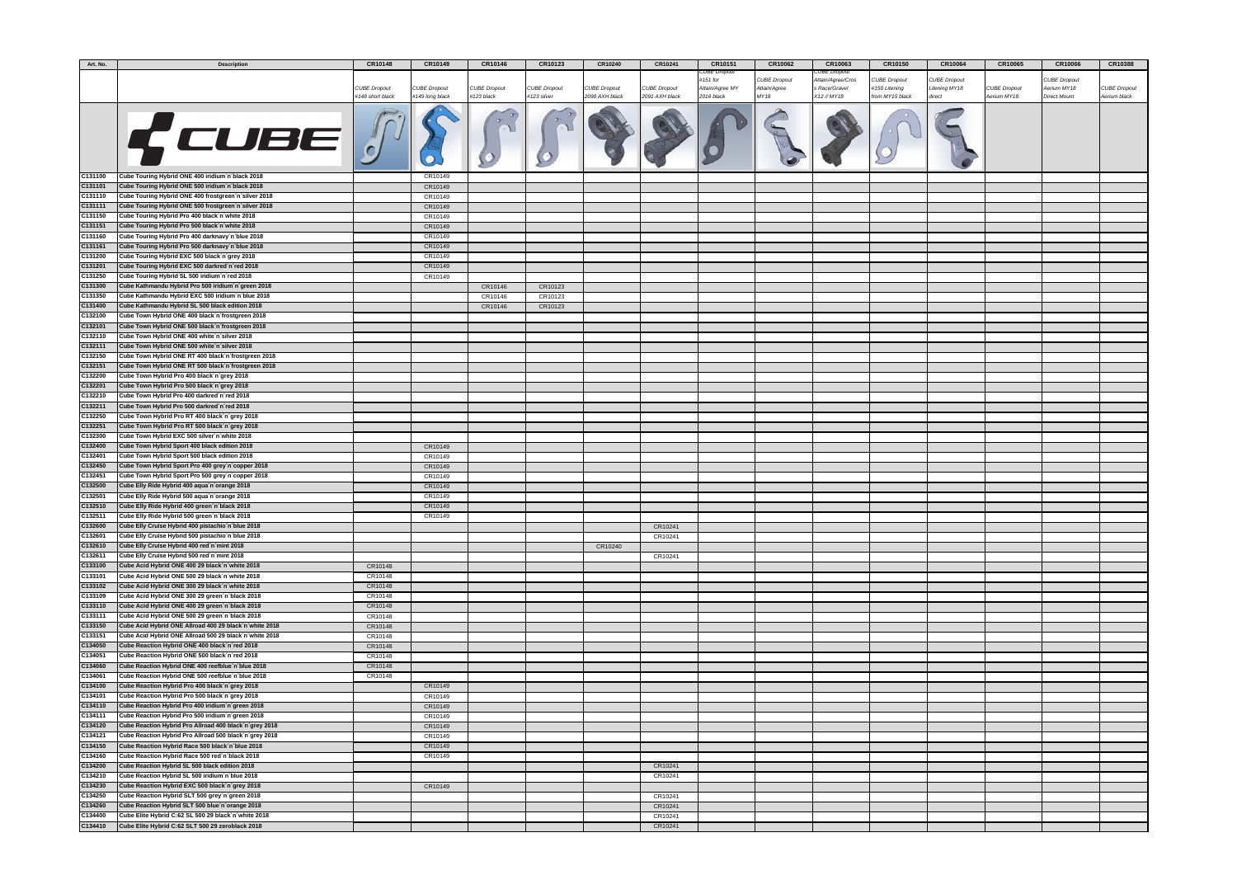| Art. No. | <b>Description</b>                                     | CR10148             | CR10149             | CR10146             | CR10123             | CR10240             | CR10241        | CR10151         | CR10062             | CR10063           | CR10150         | CR10064       | CR10065             | CR10066             | CR10388             |
|----------|--------------------------------------------------------|---------------------|---------------------|---------------------|---------------------|---------------------|----------------|-----------------|---------------------|-------------------|-----------------|---------------|---------------------|---------------------|---------------------|
|          |                                                        |                     |                     |                     |                     |                     |                | UBE Dropou      |                     | UBE Dropoui       |                 |               |                     |                     |                     |
|          |                                                        |                     |                     |                     |                     |                     |                | ‡151 for        | <b>CUBE Dropout</b> | Attain/Agree/Cros | UBE Dropout:    | CUBE Dropout  |                     | <b>CUBE Dropout</b> |                     |
|          |                                                        | <b>CUBE Dropout</b> | <b>CUBE Dropout</b> | <b>CUBE Dropout</b> | <b>CUBE Dropout</b> | <b>CUBE Dropout</b> | CUBE Dropout   | Attain/Agree MY | Attain/Agree        | s Race/Gravel     | #150 Litening   | Litening MY18 | <b>CUBE Dropout</b> | Aerium MY18         | <b>CUBE Dropout</b> |
|          |                                                        | #148 short black    | #149 long black     | #123 black          | #123 silver         | 2090 AXH black      | 2091 AXH black | 2016 black      | MY18                | X12 // MY18       | from MY15 black | direct        | Aerium MY18         | <b>Direct Mount</b> | Aerium black        |
|          |                                                        |                     |                     |                     |                     |                     |                |                 |                     |                   |                 |               |                     |                     |                     |
|          | K CUBE F                                               |                     |                     |                     |                     |                     |                |                 |                     |                   |                 |               |                     |                     |                     |
|          |                                                        |                     |                     |                     |                     |                     |                |                 |                     |                   |                 |               |                     |                     |                     |
|          |                                                        |                     |                     |                     |                     |                     |                |                 |                     |                   |                 |               |                     |                     |                     |
|          |                                                        |                     |                     |                     |                     |                     |                |                 |                     |                   |                 |               |                     |                     |                     |
|          |                                                        |                     |                     |                     |                     |                     |                |                 |                     |                   |                 |               |                     |                     |                     |
|          |                                                        |                     |                     |                     |                     |                     |                |                 |                     |                   |                 |               |                     |                     |                     |
| C131100  | Cube Touring Hybrid ONE 400 iridium n black 2018       |                     | CR10149             |                     |                     |                     |                |                 |                     |                   |                 |               |                     |                     |                     |
| C131101  | Cube Touring Hybrid ONE 500 iridium n black 2018       |                     | CR10149             |                     |                     |                     |                |                 |                     |                   |                 |               |                     |                     |                     |
| C131110  | Cube Touring Hybrid ONE 400 frostgreen n'silver 2018   |                     | CR10149             |                     |                     |                     |                |                 |                     |                   |                 |               |                     |                     |                     |
| C131111  | Cube Touring Hybrid ONE 500 frostgreen n'silver 2018   |                     | CR10149             |                     |                     |                     |                |                 |                     |                   |                 |               |                     |                     |                     |
|          |                                                        |                     |                     |                     |                     |                     |                |                 |                     |                   |                 |               |                     |                     |                     |
| C131150  | Cube Touring Hybrid Pro 400 black n'white 2018         |                     | CR10149             |                     |                     |                     |                |                 |                     |                   |                 |               |                     |                     |                     |
| C131151  | Cube Touring Hybrid Pro 500 black n'white 2018         |                     | CR10149             |                     |                     |                     |                |                 |                     |                   |                 |               |                     |                     |                     |
| C131160  | Cube Touring Hybrid Pro 400 darknavy'n'blue 2018       |                     | CR10149             |                     |                     |                     |                |                 |                     |                   |                 |               |                     |                     |                     |
| C131161  | Cube Touring Hybrid Pro 500 darknavy'n blue 2018       |                     | CR10149             |                     |                     |                     |                |                 |                     |                   |                 |               |                     |                     |                     |
| C131200  | Cube Touring Hybrid EXC 500 black´n´grey 2018          |                     | CR10149             |                     |                     |                     |                |                 |                     |                   |                 |               |                     |                     |                     |
| C131201  | Cube Touring Hybrid EXC 500 darkred 'n 'red 2018       |                     | CR10149             |                     |                     |                     |                |                 |                     |                   |                 |               |                     |                     |                     |
| C131250  | Cube Touring Hybrid SL 500 iridium'n'red 2018          |                     | CR10149             |                     |                     |                     |                |                 |                     |                   |                 |               |                     |                     |                     |
| C131300  | Cube Kathmandu Hybrid Pro 500 iridium n'green 2018     |                     |                     | CR10146             | CR10123             |                     |                |                 |                     |                   |                 |               |                     |                     |                     |
| C131350  | Cube Kathmandu Hybrid EXC 500 iridium n'blue 2018      |                     |                     | CR10146             | CR10123             |                     |                |                 |                     |                   |                 |               |                     |                     |                     |
| C131400  | Cube Kathmandu Hybrid SL 500 black edition 2018        |                     |                     | CR10146             | CR10123             |                     |                |                 |                     |                   |                 |               |                     |                     |                     |
| C132100  | Cube Town Hybrid ONE 400 black n'frostgreen 2018       |                     |                     |                     |                     |                     |                |                 |                     |                   |                 |               |                     |                     |                     |
| C132101  | Cube Town Hybrid ONE 500 black n frostgreen 2018       |                     |                     |                     |                     |                     |                |                 |                     |                   |                 |               |                     |                     |                     |
| C132110  | Cube Town Hybrid ONE 400 white n'silver 2018           |                     |                     |                     |                     |                     |                |                 |                     |                   |                 |               |                     |                     |                     |
| C132111  | Cube Town Hybrid ONE 500 white n'silver 2018           |                     |                     |                     |                     |                     |                |                 |                     |                   |                 |               |                     |                     |                     |
|          |                                                        |                     |                     |                     |                     |                     |                |                 |                     |                   |                 |               |                     |                     |                     |
| C132150  | Cube Town Hybrid ONE RT 400 black n frostgreen 2018    |                     |                     |                     |                     |                     |                |                 |                     |                   |                 |               |                     |                     |                     |
| C132151  | Cube Town Hybrid ONE RT 500 black n'frostgreen 2018    |                     |                     |                     |                     |                     |                |                 |                     |                   |                 |               |                     |                     |                     |
| C132200  | Cube Town Hybrid Pro 400 black n'grey 2018             |                     |                     |                     |                     |                     |                |                 |                     |                   |                 |               |                     |                     |                     |
| C132201  | Cube Town Hybrid Pro 500 black n'grey 2018             |                     |                     |                     |                     |                     |                |                 |                     |                   |                 |               |                     |                     |                     |
| C132210  | Cube Town Hybrid Pro 400 darkred n'red 2018            |                     |                     |                     |                     |                     |                |                 |                     |                   |                 |               |                     |                     |                     |
| C132211  | Cube Town Hybrid Pro 500 darkred n'red 2018            |                     |                     |                     |                     |                     |                |                 |                     |                   |                 |               |                     |                     |                     |
| C132250  | Cube Town Hybrid Pro RT 400 black n'grey 2018          |                     |                     |                     |                     |                     |                |                 |                     |                   |                 |               |                     |                     |                     |
| C132251  | Cube Town Hybrid Pro RT 500 black n'grey 2018          |                     |                     |                     |                     |                     |                |                 |                     |                   |                 |               |                     |                     |                     |
| C132300  | Cube Town Hybrid EXC 500 silver n white 2018           |                     |                     |                     |                     |                     |                |                 |                     |                   |                 |               |                     |                     |                     |
| C132400  | Cube Town Hybrid Sport 400 black edition 2018          |                     | CR10149             |                     |                     |                     |                |                 |                     |                   |                 |               |                     |                     |                     |
| C132401  | Cube Town Hybrid Sport 500 black edition 2018          |                     | CR10149             |                     |                     |                     |                |                 |                     |                   |                 |               |                     |                     |                     |
| C132450  | Cube Town Hybrid Sport Pro 400 grey n'copper 2018      |                     | CR10149             |                     |                     |                     |                |                 |                     |                   |                 |               |                     |                     |                     |
|          |                                                        |                     |                     |                     |                     |                     |                |                 |                     |                   |                 |               |                     |                     |                     |
| C132451  | Cube Town Hybrid Sport Pro 500 grey n'copper 2018      |                     | CR10149             |                     |                     |                     |                |                 |                     |                   |                 |               |                     |                     |                     |
| C132500  | Cube Elly Ride Hybrid 400 aqua'n'orange 2018           |                     | CR10149             |                     |                     |                     |                |                 |                     |                   |                 |               |                     |                     |                     |
| C132501  | Cube Elly Ride Hybrid 500 aqua´n´orange 2018           |                     | CR10149             |                     |                     |                     |                |                 |                     |                   |                 |               |                     |                     |                     |
| C132510  | Cube Elly Ride Hybrid 400 green n'black 2018           |                     | CR10149             |                     |                     |                     |                |                 |                     |                   |                 |               |                     |                     |                     |
| C132511  | Cube Elly Ride Hybrid 500 green 'n black 2018          |                     | CR10149             |                     |                     |                     |                |                 |                     |                   |                 |               |                     |                     |                     |
| C132600  | Cube Elly Cruise Hybrid 400 pistachio n'blue 2018      |                     |                     |                     |                     |                     | CR10241        |                 |                     |                   |                 |               |                     |                     |                     |
| C132601  | Cube Elly Cruise Hybrid 500 pistachio'n'blue 2018      |                     |                     |                     |                     |                     | CR10241        |                 |                     |                   |                 |               |                     |                     |                     |
| C132610  | Cube Elly Cruise Hybrid 400 red'n'mint 2018            |                     |                     |                     |                     | CR10240             |                |                 |                     |                   |                 |               |                     |                     |                     |
| C132611  | Cube Elly Cruise Hybrid 500 red'n'mint 2018            |                     |                     |                     |                     |                     | CR10241        |                 |                     |                   |                 |               |                     |                     |                     |
| C133100  | Cube Acid Hybrid ONE 400 29 black n white 2018         | CR10148             |                     |                     |                     |                     |                |                 |                     |                   |                 |               |                     |                     |                     |
| C133101  | Cube Acid Hybrid ONE 500 29 black n'white 2018         | CR10148             |                     |                     |                     |                     |                |                 |                     |                   |                 |               |                     |                     |                     |
| C133102  | Cube Acid Hybrid ONE 300 29 black n white 2018         | CR10148             |                     |                     |                     |                     |                |                 |                     |                   |                 |               |                     |                     |                     |
| C133109  | Cube Acid Hybrid ONE 300 29 green 'n black 2018        | CR10148             |                     |                     |                     |                     |                |                 |                     |                   |                 |               |                     |                     |                     |
| C133110  | Cube Acid Hybrid ONE 400 29 green n'black 2018         | CR10148             |                     |                     |                     |                     |                |                 |                     |                   |                 |               |                     |                     |                     |
| C133111  | Cube Acid Hybrid ONE 500 29 green 'n 'black 2018       | CR10148             |                     |                     |                     |                     |                |                 |                     |                   |                 |               |                     |                     |                     |
| C133150  | Cube Acid Hybrid ONE Allroad 400 29 black n white 2018 |                     |                     |                     |                     |                     |                |                 |                     |                   |                 |               |                     |                     |                     |
|          |                                                        | CR10148             |                     |                     |                     |                     |                |                 |                     |                   |                 |               |                     |                     |                     |
| C133151  | Cube Acid Hybrid ONE Allroad 500 29 black'n'white 2018 | CR10148             |                     |                     |                     |                     |                |                 |                     |                   |                 |               |                     |                     |                     |
| C134050  | Cube Reaction Hybrid ONE 400 black n'red 2018          | CR10148             |                     |                     |                     |                     |                |                 |                     |                   |                 |               |                     |                     |                     |
| C134051  | Cube Reaction Hybrid ONE 500 black n'red 2018          | CR10148             |                     |                     |                     |                     |                |                 |                     |                   |                 |               |                     |                     |                     |
| C134060  | Cube Reaction Hybrid ONE 400 reefblue n blue 2018      | CR10148             |                     |                     |                     |                     |                |                 |                     |                   |                 |               |                     |                     |                     |
| C134061  | Cube Reaction Hybrid ONE 500 reefblue n'blue 2018      | CR10148             |                     |                     |                     |                     |                |                 |                     |                   |                 |               |                     |                     |                     |
| C134100  | Cube Reaction Hybrid Pro 400 black n'grey 2018         |                     | CR10149             |                     |                     |                     |                |                 |                     |                   |                 |               |                     |                     |                     |
| C134101  | Cube Reaction Hybrid Pro 500 black'n'grey 2018         |                     | CR10149             |                     |                     |                     |                |                 |                     |                   |                 |               |                     |                     |                     |
| C134110  | Cube Reaction Hybrid Pro 400 iridium n'green 2018      |                     | CR10149             |                     |                     |                     |                |                 |                     |                   |                 |               |                     |                     |                     |
| C134111  | Cube Reaction Hybrid Pro 500 iridium n'green 2018      |                     | CR10149             |                     |                     |                     |                |                 |                     |                   |                 |               |                     |                     |                     |
| C134120  | Cube Reaction Hybrid Pro Allroad 400 black n'grey 2018 |                     | CR10149             |                     |                     |                     |                |                 |                     |                   |                 |               |                     |                     |                     |
| C134121  | Cube Reaction Hybrid Pro Allroad 500 black n'grey 2018 |                     | CR10149             |                     |                     |                     |                |                 |                     |                   |                 |               |                     |                     |                     |
| C134150  | Cube Reaction Hybrid Race 500 black 'n 'blue 2018      |                     | CR10149             |                     |                     |                     |                |                 |                     |                   |                 |               |                     |                     |                     |
| C134160  |                                                        |                     |                     |                     |                     |                     |                |                 |                     |                   |                 |               |                     |                     |                     |
| C134200  | Cube Reaction Hybrid Race 500 red'n'black 2018         |                     | CR10149             |                     |                     |                     | CR10241        |                 |                     |                   |                 |               |                     |                     |                     |
|          | Cube Reaction Hybrid SL 500 black edition 2018         |                     |                     |                     |                     |                     |                |                 |                     |                   |                 |               |                     |                     |                     |
| C134210  | Cube Reaction Hybrid SL 500 iridium n'blue 2018        |                     |                     |                     |                     |                     | CR10241        |                 |                     |                   |                 |               |                     |                     |                     |
| C134230  | Cube Reaction Hybrid EXC 500 black n'grey 2018         |                     | CR10149             |                     |                     |                     |                |                 |                     |                   |                 |               |                     |                     |                     |
| C134250  | Cube Reaction Hybrid SLT 500 grey n'green 2018         |                     |                     |                     |                     |                     | CR10241        |                 |                     |                   |                 |               |                     |                     |                     |
| C134260  | Cube Reaction Hybrid SLT 500 blue'n orange 2018        |                     |                     |                     |                     |                     | CR10241        |                 |                     |                   |                 |               |                     |                     |                     |
| C134400  | Cube Elite Hybrid C:62 SL 500 29 black n'white 2018    |                     |                     |                     |                     |                     | CR10241        |                 |                     |                   |                 |               |                     |                     |                     |
| C134410  | Cube Elite Hybrid C:62 SLT 500 29 zeroblack 2018       |                     |                     |                     |                     |                     | CR10241        |                 |                     |                   |                 |               |                     |                     |                     |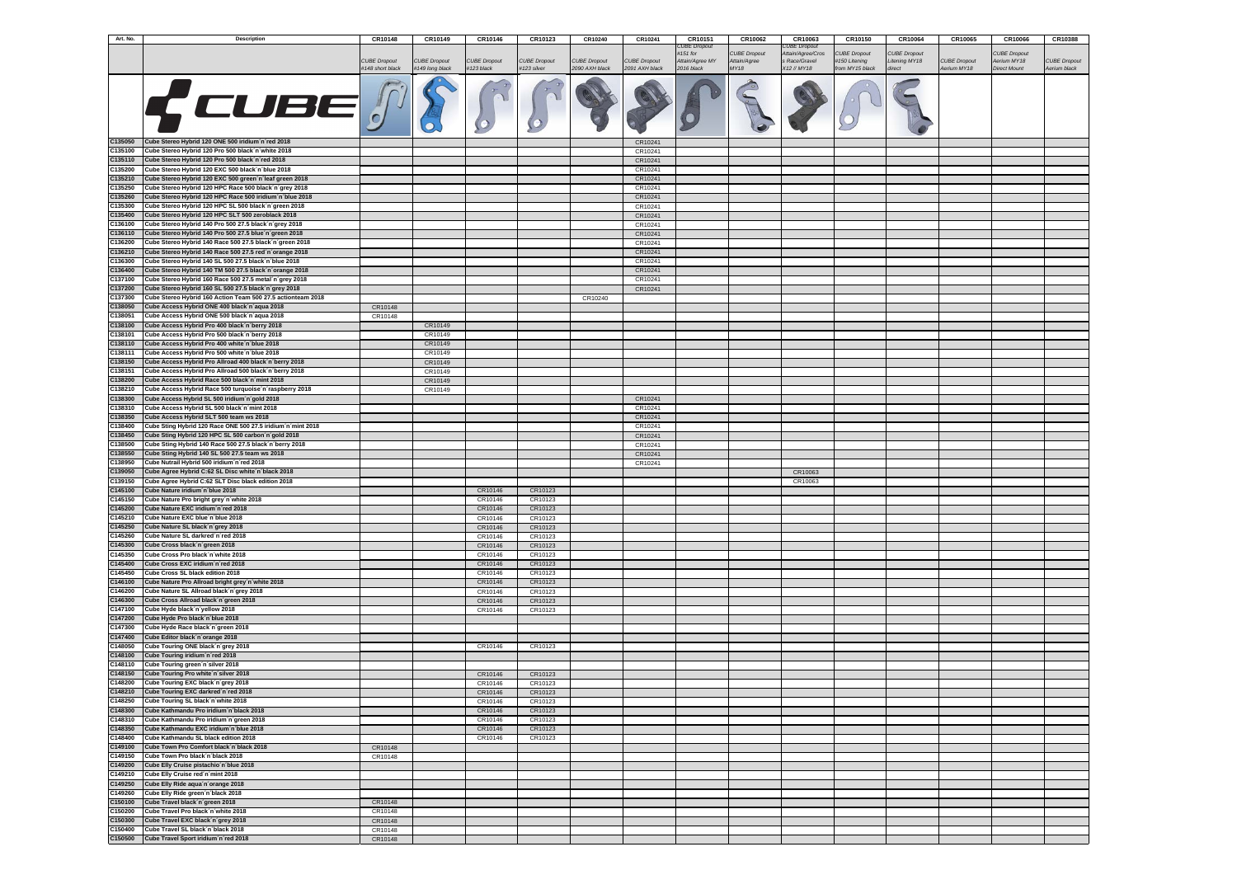| Art. No.           | <b>Description</b>                                                                                                | CR10148             | CR10149             | CR10146             | CR10123             | CR10240             | CR10241             | CR10151                     | CR10062                             | CR10063                            | CR10150                             | CR10064                              | CR10065             | CR10066                            | <b>CR10388</b>      |
|--------------------|-------------------------------------------------------------------------------------------------------------------|---------------------|---------------------|---------------------|---------------------|---------------------|---------------------|-----------------------------|-------------------------------------|------------------------------------|-------------------------------------|--------------------------------------|---------------------|------------------------------------|---------------------|
|                    |                                                                                                                   |                     |                     |                     |                     |                     |                     | CUBE Dropout                |                                     | <b>CUBE Dropout</b>                |                                     |                                      |                     |                                    |                     |
|                    |                                                                                                                   | <b>CUBE Dropout</b> | <b>CUBE Dropout</b> | <b>CUBE Dropout</b> | <b>CUBE Dropout</b> | <b>CUBE Dropout</b> | <b>CUBE Dropout</b> | #151 for<br>Attain/Agree MY | <b>CUBE Dropout</b><br>Attain/Agree | Attain/Agree/Cros<br>s Race/Gravel | <b>UBE Dropout</b><br>#150 Litening | <b>CUBE Dropout</b><br>Litening MY18 | <b>CUBE Dropout</b> | <b>CUBE Dropout</b><br>Aerium MY18 | <b>CUBE Dropout</b> |
|                    |                                                                                                                   | #148 short black    | #149 long black     | #123 black          | #123 silver         | 2090 AXH black      | 2091 AXH black      | 2016 black                  | <b>MY18</b>                         | X12 // MY18                        | from MY15 black                     | direct                               | Aerium MY18         | <b>Direct Mount</b>                | Aerium black        |
|                    |                                                                                                                   |                     |                     |                     |                     |                     |                     |                             |                                     |                                    |                                     |                                      |                     |                                    |                     |
|                    | CUBE                                                                                                              |                     |                     |                     |                     |                     |                     |                             |                                     |                                    |                                     |                                      |                     |                                    |                     |
|                    |                                                                                                                   |                     |                     |                     |                     |                     |                     |                             |                                     |                                    |                                     |                                      |                     |                                    |                     |
|                    |                                                                                                                   |                     |                     |                     |                     |                     |                     |                             |                                     |                                    |                                     |                                      |                     |                                    |                     |
|                    |                                                                                                                   |                     |                     |                     |                     |                     |                     |                             |                                     |                                    |                                     |                                      |                     |                                    |                     |
|                    |                                                                                                                   |                     |                     |                     |                     |                     |                     |                             |                                     |                                    |                                     |                                      |                     |                                    |                     |
| C135050            | Cube Stereo Hybrid 120 ONE 500 iridium n'red 2018                                                                 |                     |                     |                     |                     |                     | CR10241             |                             |                                     |                                    |                                     |                                      |                     |                                    |                     |
| C135100            | Cube Stereo Hybrid 120 Pro 500 black n'white 2018                                                                 |                     |                     |                     |                     |                     | CR10241             |                             |                                     |                                    |                                     |                                      |                     |                                    |                     |
| C135110            | Cube Stereo Hybrid 120 Pro 500 black n'red 2018                                                                   |                     |                     |                     |                     |                     | CR10241             |                             |                                     |                                    |                                     |                                      |                     |                                    |                     |
| C135200            | Cube Stereo Hybrid 120 EXC 500 black n'blue 2018                                                                  |                     |                     |                     |                     |                     | CR10241             |                             |                                     |                                    |                                     |                                      |                     |                                    |                     |
| C135210            | Cube Stereo Hybrid 120 EXC 500 green n'leaf green 2018                                                            |                     |                     |                     |                     |                     | CR10241             |                             |                                     |                                    |                                     |                                      |                     |                                    |                     |
| C135250            | Cube Stereo Hybrid 120 HPC Race 500 black´n´grey 2018                                                             |                     |                     |                     |                     |                     | CR10241             |                             |                                     |                                    |                                     |                                      |                     |                                    |                     |
| C135260            | Cube Stereo Hybrid 120 HPC Race 500 iridium n'blue 2018                                                           |                     |                     |                     |                     |                     | CR10241             |                             |                                     |                                    |                                     |                                      |                     |                                    |                     |
| C135300            | Cube Stereo Hybrid 120 HPC SL 500 black n'green 2018                                                              |                     |                     |                     |                     |                     | CR10241             |                             |                                     |                                    |                                     |                                      |                     |                                    |                     |
| C135400            | Cube Stereo Hybrid 120 HPC SLT 500 zeroblack 2018                                                                 |                     |                     |                     |                     |                     | CR10241             |                             |                                     |                                    |                                     |                                      |                     |                                    |                     |
| C136100            | Cube Stereo Hybrid 140 Pro 500 27.5 black n'grey 2018                                                             |                     |                     |                     |                     |                     | CR10241             |                             |                                     |                                    |                                     |                                      |                     |                                    |                     |
| C136110            | Cube Stereo Hybrid 140 Pro 500 27.5 blue n'green 2018                                                             |                     |                     |                     |                     |                     | CR10241             |                             |                                     |                                    |                                     |                                      |                     |                                    |                     |
| C136200<br>C136210 | Cube Stereo Hybrid 140 Race 500 27.5 black n'green 2018<br>Cube Stereo Hybrid 140 Race 500 27.5 red'n'orange 2018 |                     |                     |                     |                     |                     | CR10241<br>CR10241  |                             |                                     |                                    |                                     |                                      |                     |                                    |                     |
| C136300            | Cube Stereo Hybrid 140 SL 500 27.5 black n'blue 2018                                                              |                     |                     |                     |                     |                     | CR10241             |                             |                                     |                                    |                                     |                                      |                     |                                    |                     |
| C136400            | Cube Stereo Hybrid 140 TM 500 27.5 black n'orange 2018                                                            |                     |                     |                     |                     |                     | CR10241             |                             |                                     |                                    |                                     |                                      |                     |                                    |                     |
| C137100            | Cube Stereo Hybrid 160 Race 500 27.5 metal n'grey 2018                                                            |                     |                     |                     |                     |                     | CR10241             |                             |                                     |                                    |                                     |                                      |                     |                                    |                     |
| C137200            | Cube Stereo Hybrid 160 SL 500 27.5 black n'grey 2018                                                              |                     |                     |                     |                     |                     | CR10241             |                             |                                     |                                    |                                     |                                      |                     |                                    |                     |
| C137300            | Cube Stereo Hybrid 160 Action Team 500 27.5 actionteam 2018                                                       |                     |                     |                     |                     | CR10240             |                     |                             |                                     |                                    |                                     |                                      |                     |                                    |                     |
| C138050            | Cube Access Hybrid ONE 400 black n'aqua 2018                                                                      | CR10148             |                     |                     |                     |                     |                     |                             |                                     |                                    |                                     |                                      |                     |                                    |                     |
| C138051            | Cube Access Hybrid ONE 500 black n'aqua 2018                                                                      | CR10148             |                     |                     |                     |                     |                     |                             |                                     |                                    |                                     |                                      |                     |                                    |                     |
| C138100            | Cube Access Hybrid Pro 400 black n berry 2018                                                                     |                     | CR10149             |                     |                     |                     |                     |                             |                                     |                                    |                                     |                                      |                     |                                    |                     |
| C138101            | Cube Access Hybrid Pro 500 black n berry 2018                                                                     |                     | CR10149             |                     |                     |                     |                     |                             |                                     |                                    |                                     |                                      |                     |                                    |                     |
| C138110            | Cube Access Hybrid Pro 400 white n blue 2018                                                                      |                     | CR10149             |                     |                     |                     |                     |                             |                                     |                                    |                                     |                                      |                     |                                    |                     |
| C138111            | Cube Access Hybrid Pro 500 white n'blue 2018                                                                      |                     | CR10149             |                     |                     |                     |                     |                             |                                     |                                    |                                     |                                      |                     |                                    |                     |
| C138150<br>C138151 | Cube Access Hybrid Pro Allroad 400 black n'berry 2018<br>Cube Access Hybrid Pro Allroad 500 black n'berry 2018    |                     | CR10149<br>CR10149  |                     |                     |                     |                     |                             |                                     |                                    |                                     |                                      |                     |                                    |                     |
| C138200            | Cube Access Hybrid Race 500 black n'mint 2018                                                                     |                     | CR10149             |                     |                     |                     |                     |                             |                                     |                                    |                                     |                                      |                     |                                    |                     |
| C138210            | Cube Access Hybrid Race 500 turquoise n'raspberry 2018                                                            |                     | CR10149             |                     |                     |                     |                     |                             |                                     |                                    |                                     |                                      |                     |                                    |                     |
| C138300            | Cube Access Hybrid SL 500 iridium n'gold 2018                                                                     |                     |                     |                     |                     |                     | CR10241             |                             |                                     |                                    |                                     |                                      |                     |                                    |                     |
| C138310            | Cube Access Hybrid SL 500 black n'mint 2018                                                                       |                     |                     |                     |                     |                     | CR10241             |                             |                                     |                                    |                                     |                                      |                     |                                    |                     |
| C138350            | Cube Access Hybrid SLT 500 team ws 2018                                                                           |                     |                     |                     |                     |                     | CR10241             |                             |                                     |                                    |                                     |                                      |                     |                                    |                     |
| C138400            | Cube Sting Hybrid 120 Race ONE 500 27.5 iridium n mint 2018                                                       |                     |                     |                     |                     |                     | CR10241             |                             |                                     |                                    |                                     |                                      |                     |                                    |                     |
| C138450            | Cube Sting Hybrid 120 HPC SL 500 carbon n'gold 2018                                                               |                     |                     |                     |                     |                     | CR10241             |                             |                                     |                                    |                                     |                                      |                     |                                    |                     |
| C138500            | Cube Sting Hybrid 140 Race 500 27.5 black n'berry 2018                                                            |                     |                     |                     |                     |                     | CR10241             |                             |                                     |                                    |                                     |                                      |                     |                                    |                     |
| C138550            | Cube Sting Hybrid 140 SL 500 27.5 team ws 2018                                                                    |                     |                     |                     |                     |                     | CR10241             |                             |                                     |                                    |                                     |                                      |                     |                                    |                     |
| C138950            | Cube Nutrail Hybrid 500 iridium n'red 2018                                                                        |                     |                     |                     |                     |                     | CR10241             |                             |                                     |                                    |                                     |                                      |                     |                                    |                     |
| C139050<br>C139150 | Cube Agree Hybrid C:62 SL Disc white 'n black 2018<br>Cube Agree Hybrid C:62 SLT Disc black edition 2018          |                     |                     |                     |                     |                     |                     |                             |                                     | CR10063<br>CR10063                 |                                     |                                      |                     |                                    |                     |
| C145100            | Cube Nature iridium n'blue 2018                                                                                   |                     |                     | CR10146             | CR10123             |                     |                     |                             |                                     |                                    |                                     |                                      |                     |                                    |                     |
| C145150            | Cube Nature Pro bright grey n'white 2018                                                                          |                     |                     | CR10146             | CR10123             |                     |                     |                             |                                     |                                    |                                     |                                      |                     |                                    |                     |
| C145200            | Cube Nature EXC iridium n'red 2018                                                                                |                     |                     | CR10146             | CR10123             |                     |                     |                             |                                     |                                    |                                     |                                      |                     |                                    |                     |
| C145210            | Cube Nature EXC blue'n blue 2018                                                                                  |                     |                     | CR10146             | CR10123             |                     |                     |                             |                                     |                                    |                                     |                                      |                     |                                    |                     |
| C145250            | Cube Nature SL black n'grey 2018                                                                                  |                     |                     | CR10146             | CR10123             |                     |                     |                             |                                     |                                    |                                     |                                      |                     |                                    |                     |
| C145260            | Cube Nature SL darkred n'red 2018                                                                                 |                     |                     | CR10146             | CR10123             |                     |                     |                             |                                     |                                    |                                     |                                      |                     |                                    |                     |
| C145300            | Cube Cross black n'green 2018                                                                                     |                     |                     | CR10146             | CR10123             |                     |                     |                             |                                     |                                    |                                     |                                      |                     |                                    |                     |
| C145350            | Cube Cross Pro black n'white 2018                                                                                 |                     |                     | CR10146             | CR10123             |                     |                     |                             |                                     |                                    |                                     |                                      |                     |                                    |                     |
| C145400<br>C145450 | Cube Cross EXC iridium n'red 2018<br>Cube Cross SL black edition 2018                                             |                     |                     | CR10146             | CR10123             |                     |                     |                             |                                     |                                    |                                     |                                      |                     |                                    |                     |
| C146100            | Cube Nature Pro Allroad bright grey n white 2018                                                                  |                     |                     | CR10146<br>CR10146  | CR10123<br>CR10123  |                     |                     |                             |                                     |                                    |                                     |                                      |                     |                                    |                     |
| C146200            | Cube Nature SL Allroad black n'grey 2018                                                                          |                     |                     | CR10146             | CR10123             |                     |                     |                             |                                     |                                    |                                     |                                      |                     |                                    |                     |
| C146300            | Cube Cross Allroad black n'green 2018                                                                             |                     |                     | CR10146             | CR10123             |                     |                     |                             |                                     |                                    |                                     |                                      |                     |                                    |                     |
| C147100            | Cube Hyde black n'yellow 2018                                                                                     |                     |                     | CR10146             | CR10123             |                     |                     |                             |                                     |                                    |                                     |                                      |                     |                                    |                     |
| C147200            | Cube Hyde Pro black n'blue 2018                                                                                   |                     |                     |                     |                     |                     |                     |                             |                                     |                                    |                                     |                                      |                     |                                    |                     |
| C147300            | Cube Hyde Race black'n'green 2018                                                                                 |                     |                     |                     |                     |                     |                     |                             |                                     |                                    |                                     |                                      |                     |                                    |                     |
| C147400            | Cube Editor black n'orange 2018                                                                                   |                     |                     |                     |                     |                     |                     |                             |                                     |                                    |                                     |                                      |                     |                                    |                     |
| C148050            | Cube Touring ONE black n'grey 2018                                                                                |                     |                     | CR10146             | CR10123             |                     |                     |                             |                                     |                                    |                                     |                                      |                     |                                    |                     |
| C148100<br>C148110 | Cube Touring iridium 'n 'red 2018<br>Cube Touring green n'silver 2018                                             |                     |                     |                     |                     |                     |                     |                             |                                     |                                    |                                     |                                      |                     |                                    |                     |
| C148150            | Cube Touring Pro white'n silver 2018                                                                              |                     |                     | CR10146             | CR10123             |                     |                     |                             |                                     |                                    |                                     |                                      |                     |                                    |                     |
| C148200            | Cube Touring EXC black n'grey 2018                                                                                |                     |                     | CR10146             | CR10123             |                     |                     |                             |                                     |                                    |                                     |                                      |                     |                                    |                     |
| C148210            | Cube Touring EXC darkred n'red 2018                                                                               |                     |                     | CR10146             | CR10123             |                     |                     |                             |                                     |                                    |                                     |                                      |                     |                                    |                     |
| C148250            | Cube Touring SL black n'white 2018                                                                                |                     |                     | CR10146             | CR10123             |                     |                     |                             |                                     |                                    |                                     |                                      |                     |                                    |                     |
| C148300            | Cube Kathmandu Pro iridium 'n 'black 2018                                                                         |                     |                     | CR10146             | CR10123             |                     |                     |                             |                                     |                                    |                                     |                                      |                     |                                    |                     |
| C148310            | Cube Kathmandu Pro iridium'n'green 2018                                                                           |                     |                     | CR10146             | CR10123             |                     |                     |                             |                                     |                                    |                                     |                                      |                     |                                    |                     |
| C148350            | Cube Kathmandu EXC iridium'n'blue 2018                                                                            |                     |                     | CR10146             | CR10123             |                     |                     |                             |                                     |                                    |                                     |                                      |                     |                                    |                     |
| C148400            | Cube Kathmandu SL black edition 2018                                                                              |                     |                     | CR10146             | CR10123             |                     |                     |                             |                                     |                                    |                                     |                                      |                     |                                    |                     |
| C149100            | Cube Town Pro Comfort black n'black 2018                                                                          | CR10148             |                     |                     |                     |                     |                     |                             |                                     |                                    |                                     |                                      |                     |                                    |                     |
| C149150<br>C149200 | Cube Town Pro black 'n 'black 2018<br>Cube Elly Cruise pistachio'n blue 2018                                      | CR10148             |                     |                     |                     |                     |                     |                             |                                     |                                    |                                     |                                      |                     |                                    |                     |
| C149210            | Cube Elly Cruise red'n'mint 2018                                                                                  |                     |                     |                     |                     |                     |                     |                             |                                     |                                    |                                     |                                      |                     |                                    |                     |
| C149250            | Cube Elly Ride aqua'n'orange 2018                                                                                 |                     |                     |                     |                     |                     |                     |                             |                                     |                                    |                                     |                                      |                     |                                    |                     |
| C149260            | Cube Elly Ride green 'n black 2018                                                                                |                     |                     |                     |                     |                     |                     |                             |                                     |                                    |                                     |                                      |                     |                                    |                     |
| C150100            | Cube Travel black n'green 2018                                                                                    | CR10148             |                     |                     |                     |                     |                     |                             |                                     |                                    |                                     |                                      |                     |                                    |                     |
| C150200            | Cube Travel Pro black n'white 2018                                                                                | CR10148             |                     |                     |                     |                     |                     |                             |                                     |                                    |                                     |                                      |                     |                                    |                     |
| C150300            | Cube Travel EXC black n'grey 2018                                                                                 | CR10148             |                     |                     |                     |                     |                     |                             |                                     |                                    |                                     |                                      |                     |                                    |                     |
| C150400            | Cube Travel SL black´n´black 2018                                                                                 | CR10148             |                     |                     |                     |                     |                     |                             |                                     |                                    |                                     |                                      |                     |                                    |                     |
| C150500            | Cube Travel Sport iridium n'red 2018                                                                              | CR10148             |                     |                     |                     |                     |                     |                             |                                     |                                    |                                     |                                      |                     |                                    |                     |